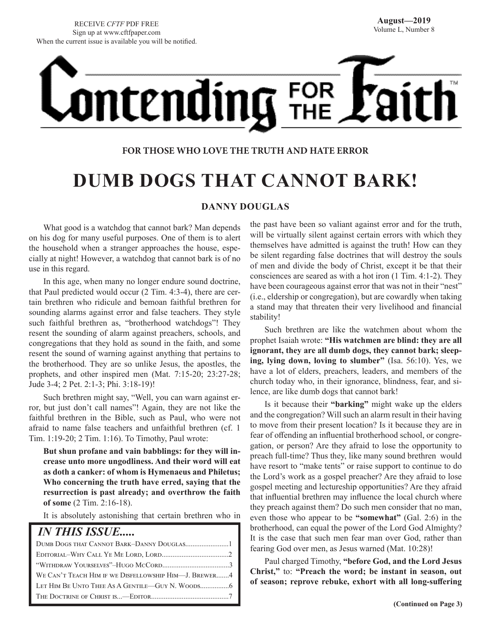# **ontending** FOR

#### **FOR THOSE WHO LOVE THE TRUTH AND HATE ERROR**

## **DUMB DOGS THAT CANNOT BARK!**

#### **DANNY DOUGLAS**

What good is a watchdog that cannot bark? Man depends on his dog for many useful purposes. One of them is to alert the household when a stranger approaches the house, especially at night! However, a watchdog that cannot bark is of no use in this regard.

In this age, when many no longer endure sound doctrine, that Paul predicted would occur (2 Tim. 4:3-4), there are certain brethren who ridicule and bemoan faithful brethren for sounding alarms against error and false teachers. They style such faithful brethren as, "brotherhood watchdogs"! They resent the sounding of alarm against preachers, schools, and congregations that they hold as sound in the faith, and some resent the sound of warning against anything that pertains to the brotherhood. They are so unlike Jesus, the apostles, the prophets, and other inspired men (Mat. 7:15-20; 23:27-28; Jude 3-4; 2 Pet. 2:1-3; Phi. 3:18-19)!

Such brethren might say, "Well, you can warn against error, but just don't call names"! Again, they are not like the faithful brethren in the Bible, such as Paul, who were not afraid to name false teachers and unfaithful brethren (cf. 1 Tim. 1:19-20; 2 Tim. 1:16). To Timothy, Paul wrote:

**But shun profane and vain babblings: for they will increase unto more ungodliness. And their word will eat as doth a canker: of whom is Hymenaeus and Philetus; Who concerning the truth have erred, saying that the resurrection is past already; and overthrow the faith of some** (2 Tim. 2:16-18).

It is absolutely astonishing that certain brethren who in

#### *IN THIS ISSUE.....*

| WE CAN'T TEACH HIM IF WE DISFELLOWSHIP HIM—J. BREWER4 |
|-------------------------------------------------------|
|                                                       |
|                                                       |

the past have been so valiant against error and for the truth, will be virtually silent against certain errors with which they themselves have admitted is against the truth! How can they be silent regarding false doctrines that will destroy the souls of men and divide the body of Christ, except it be that their consciences are seared as with a hot iron (1 Tim. 4:1-2). They have been courageous against error that was not in their "nest" (i.e., eldership or congregation), but are cowardly when taking a stand may that threaten their very livelihood and financial stability!

Such brethren are like the watchmen about whom the prophet Isaiah wrote: **"His watchmen are blind: they are all ignorant, they are all dumb dogs, they cannot bark; sleeping, lying down, loving to slumber"** (Isa. 56:10). Yes, we have a lot of elders, preachers, leaders, and members of the church today who, in their ignorance, blindness, fear, and silence, are like dumb dogs that cannot bark!

Is it because their **"barking"** might wake up the elders and the congregation? Will such an alarm result in their having to move from their present location? Is it because they are in fear of offending an influential brotherhood school, or congregation, or person? Are they afraid to lose the opportunity to preach full-time? Thus they, like many sound brethren would have resort to "make tents" or raise support to continue to do the Lord's work as a gospel preacher? Are they afraid to lose gospel meeting and lectureship opportunities? Are they afraid that influential brethren may influence the local church where they preach against them? Do such men consider that no man, even those who appear to be **"somewhat"** (Gal. 2:6) in the brotherhood, can equal the power of the Lord God Almighty? It is the case that such men fear man over God, rather than fearing God over men, as Jesus warned (Mat. 10:28)!

Paul charged Timothy, **"before God, and the Lord Jesus Christ,"** to: **"Preach the word; be instant in season, out of season; reprove rebuke, exhort with all long-suffering**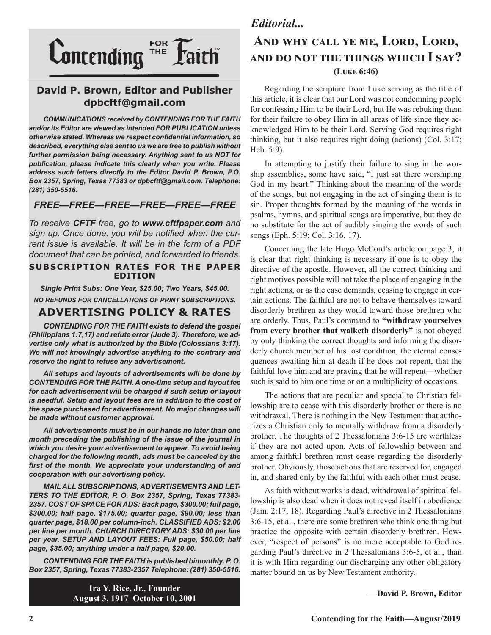

#### **David P. Brown, Editor and Publisher dpbcftf@gmail.com**

*COMMUNICATIONS received by CONTENDING FOR THE FAITH and/or its Editor are viewed as intended FOR PUBLICATION unless otherwise stated. Whereas we respect confidential information, so described, everything else sent to us we are free to publish without further permission being necessary. Anything sent to us NOT for publication, please indicate this clearly when you write. Please address such letters directly to the Editor David P. Brown, P.O. Box 2357, Spring, Texas 77383 or dpbcftf@gmail.com. Telephone: (281) 350-5516.*

#### *FREE—FREE—FREE—FREE—FREE—FREE*

*To receive CFTF free, go to www.cftfpaper.com and sign up. Once done, you will be notified when the current issue is available. It will be in the form of a PDF document that can be printed, and forwarded to friends.*

#### **SUBSCRIPTION RATES FOR THE PAPER EDITION**

*Single Print Subs: One Year, \$25.00; Two Years, \$45.00. NO REFUNDS FOR CANCELLATIONS OF PRINT SUBSCRIPTIONS.*

#### **ADVERTISING POLICY & RATES**

*CONTENDING FOR THE FAITH exists to defend the gospel (Philippians 1:7,17) and refute error (Jude 3). Therefore, we advertise only what is authorized by the Bible (Colossians 3:17). We will not knowingly advertise anything to the contrary and reserve the right to refuse any advertisement.*

*All setups and layouts of advertisements will be done by CONTENDING FOR THE FAITH. A one-time setup and layout fee for each advertisement will be charged if such setup or layout*  is needful. Setup and layout fees are in addition to the cost of *the space purchased for advertisement. No major changes will be made without customer approval.*

*All advertisements must be in our hands no later than one month preceding the publishing of the issue of the journal in which you desire your advertisement to appear. To avoid being charged for the following month, ads must be canceled by the first of the month. We appreciate your understanding of and cooperation with our advertising policy.*

*MAIL ALL SUBSCRIPTIONS, ADVERTISEMENTS AND LET-TERS TO THE EDITOR, P. O. Box 2357, Spring, Texas 77383- 2357. COST OF SPACE FOR ADS: Back page, \$300.00; full page, \$300.00; half page, \$175.00; quarter page, \$90.00; less than quarter page, \$18.00 per column-inch. CLASSIFIED ADS: \$2.00 per line per month. CHURCH DIRECTORY ADS: \$30.00 per line per year. SETUP AND LAYOUT FEES: Full page, \$50.00; half page, \$35.00; anything under a half page, \$20.00.*

*CONTENDING FOR THE FAITH is published bimonthly. P. O. Box 2357, Spring, Texas 77383-2357 Telephone: (281) 350-5516.*

> **Ira Y. Rice, Jr., Founder August 3, 1917–October 10, 2001**

#### *Editorial...*

#### **And why call ye me, Lord, Lord, and do not the things which I say? (Luke 6:46)**

Regarding the scripture from Luke serving as the title of this article, it is clear that our Lord was not condemning people for confessing Him to be their Lord, but He was rebuking them for their failure to obey Him in all areas of life since they acknowledged Him to be their Lord. Serving God requires right thinking, but it also requires right doing (actions) (Col. 3:17; Heb. 5:9).

In attempting to justify their failure to sing in the worship assemblies, some have said, "I just sat there worshiping God in my heart." Thinking about the meaning of the words of the songs, but not engaging in the act of singing them is to sin. Proper thoughts formed by the meaning of the words in psalms, hymns, and spiritual songs are imperative, but they do no substitute for the act of audibly singing the words of such songs (Eph. 5:19; Col. 3:16, 17).

Concerning the late Hugo McCord's article on page 3, it is clear that right thinking is necessary if one is to obey the directive of the apostle. However, all the correct thinking and right motives possible will not take the place of engaging in the right actions, or as the case demands, ceasing to engage in certain actions. The faithful are not to behave themselves toward disorderly brethren as they would toward those brethren who are orderly. Thus, Paul's command to **"withdraw yourselves from every brother that walketh disorderly"** is not obeyed by only thinking the correct thoughts and informing the disorderly church member of his lost condition, the eternal consequences awaiting him at death if he does not repent, that the faithful love him and are praying that he will repent—whether such is said to him one time or on a multiplicity of occasions.

The actions that are peculiar and special to Christian fellowship are to cease with this disorderly brother or there is no withdrawal. There is nothing in the New Testament that authorizes a Christian only to mentally withdraw from a disorderly brother. The thoughts of 2 Thessalonians 3:6-15 are worthless if they are not acted upon. Acts of fellowship between and among faithful brethren must cease regarding the disorderly brother. Obviously, those actions that are reserved for, engaged in, and shared only by the faithful with each other must cease.

As faith without works is dead, withdrawal of spiritual fellowship is also dead when it does not reveal itself in obedience (Jam. 2:17, 18). Regarding Paul's directive in 2 Thessalonians 3:6-15, et al., there are some brethren who think one thing but practice the opposite with certain disorderly brethren. However, "respect of persons" is no more acceptable to God regarding Paul's directive in 2 Thessalonians 3:6-5, et al., than it is with Him regarding our discharging any other obligatory matter bound on us by New Testament authority.

**—David P. Brown, Editor**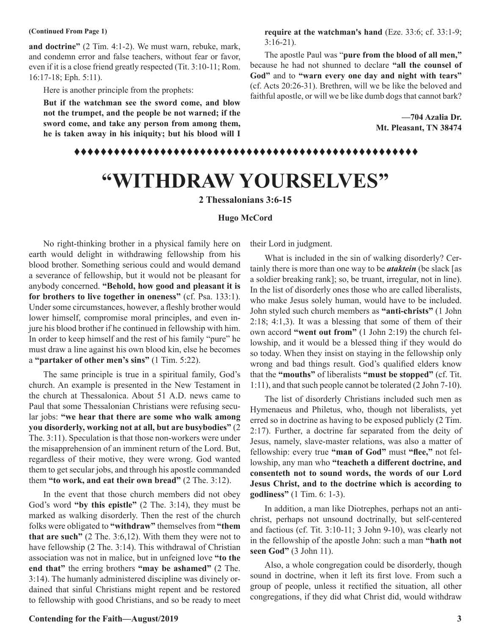**and doctrine"** (2 Tim. 4:1-2). We must warn, rebuke, mark, and condemn error and false teachers, without fear or favor, even if it is a close friend greatly respected (Tit. 3:10-11; Rom. 16:17-18; Eph. 5:11).

Here is another principle from the prophets:

**But if the watchman see the sword come, and blow not the trumpet, and the people be not warned; if the sword come, and take any person from among them, he is taken away in his iniquity; but his blood will I** 

**(Continued From Page 1) require at the watchman's hand** (Eze. 33:6; cf. 33:1-9; 3:16-21).

> The apostle Paul was "**pure from the blood of all men,"**  because he had not shunned to declare **"all the counsel of God"** and to **"warn every one day and night with tears"** (cf. Acts 20:26-31). Brethren, will we be like the beloved and faithful apostle, or will we be like dumb dogs that cannot bark?

> > **—704 Azalia Dr. Mt. Pleasant, TN 38474**

#### tttttttttttttttttttttttttttttttttttttttttttttttttttt

# **"WITHDRAW YOURSELVES"**

**2 Thessalonians 3:6-15**

#### **Hugo McCord**

No right-thinking brother in a physical family here on earth would delight in withdrawing fellowship from his blood brother. Something serious could and would demand a severance of fellowship, but it would not be pleasant for anybody concerned. **"Behold, how good and pleasant it is for brothers to live together in oneness"** (cf. Psa. 133:1). Under some circumstances, however, a fleshly brother would lower himself, compromise moral principles, and even injure his blood brother if he continued in fellowship with him. In order to keep himself and the rest of his family "pure" he must draw a line against his own blood kin, else he becomes a **"partaker of other men's sins"** (1 Tim. 5:22).

The same principle is true in a spiritual family, God's church. An example is presented in the New Testament in the church at Thessalonica. About 51 A.D. news came to Paul that some Thessalonian Christians were refusing secular jobs: **"we hear that there are some who walk among you disorderly, working not at all, but are busybodies"** (2 The. 3:11). Speculation is that those non-workers were under the misapprehension of an imminent return of the Lord. But, regardless of their motive, they were wrong. God wanted them to get secular jobs, and through his apostle commanded them **"to work, and eat their own bread"** (2 The. 3:12).

In the event that those church members did not obey God's word **"by this epistle"** (2 The. 3:14), they must be marked as walking disorderly. Then the rest of the church folks were obligated to **"withdraw"** themselves from **"them that are such"** (2 The. 3:6,12). With them they were not to have fellowship (2 The. 3:14). This withdrawal of Christian association was not in malice, but in unfeigned love **"to the end that"** the erring brothers **"may be ashamed"** (2 The. 3:14). The humanly administered discipline was divinely ordained that sinful Christians might repent and be restored to fellowship with good Christians, and so be ready to meet

their Lord in judgment.

What is included in the sin of walking disorderly? Certainly there is more than one way to be *ataktein* (be slack [as a soldier breaking rank]; so, be truant, irregular, not in line). In the list of disorderly ones those who are called liberalists, who make Jesus solely human, would have to be included. John styled such church members as **"anti-christs"** (1 John 2:18; 4:1,3). It was a blessing that some of them of their own accord **"went out from"** (1 John 2:19) the church fellowship, and it would be a blessed thing if they would do so today. When they insist on staying in the fellowship only wrong and bad things result. God's qualified elders know that the **"mouths"** of liberalists **"must be stopped"** (cf. Tit. 1:11), and that such people cannot be tolerated (2 John 7-10).

The list of disorderly Christians included such men as Hymenaeus and Philetus, who, though not liberalists, yet erred so in doctrine as having to be exposed publicly (2 Tim. 2:17). Further, a doctrine far separated from the deity of Jesus, namely, slave-master relations, was also a matter of fellowship: every true **"man of God"** must **"flee,"** not fellowship, any man who **"teacheth a different doctrine, and consenteth not to sound words, the words of our Lord Jesus Christ, and to the doctrine which is according to godliness"** (1 Tim. 6: 1-3).

In addition, a man like Diotrephes, perhaps not an antichrist, perhaps not unsound doctrinally, but self-centered and factious (cf. Tit. 3:10-11; 3 John 9-10), was clearly not in the fellowship of the apostle John: such a man **"hath not seen God"** (3 John 11).

Also, a whole congregation could be disorderly, though sound in doctrine, when it left its first love. From such a group of people, unless it rectified the situation, all other congregations, if they did what Christ did, would withdraw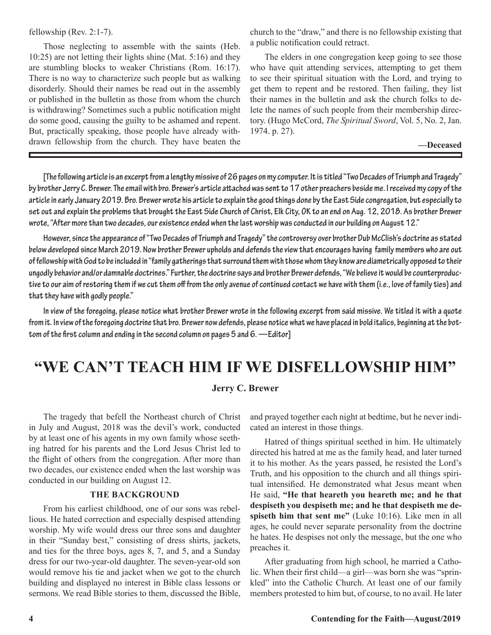#### fellowship (Rev. 2:1-7).

Those neglecting to assemble with the saints (Heb. 10:25) are not letting their lights shine (Mat. 5:16) and they are stumbling blocks to weaker Christians (Rom. 16:17). There is no way to characterize such people but as walking disorderly. Should their names be read out in the assembly or published in the bulletin as those from whom the church is withdrawing? Sometimes such a public notification might do some good, causing the guilty to be ashamed and repent. But, practically speaking, those people have already withdrawn fellowship from the church. They have beaten the

church to the "draw," and there is no fellowship existing that a public notification could retract.

The elders in one congregation keep going to see those who have quit attending services, attempting to get them to see their spiritual situation with the Lord, and trying to get them to repent and be restored. Then failing, they list their names in the bulletin and ask the church folks to delete the names of such people from their membership directory. (Hugo McCord, *The Spiritual Sword*, Vol. 5, No. 2, Jan. 1974. p. 27).

#### **—Deceased**

**[The following article is an excerpt from a lengthy missive of 26 pages on my computer. It is titled "Two Decades of Triumph and Tragedy" by brother Jerry C. Brewer. The email with bro. Brewer's article attached was sent to 17 other preachers beside me. I received my copy of the article in early January 2019. Bro. Brewer wrote his article to explain the good things done by the East Side congregation, but especially to set out and explain the problems that brought the East Side Church of Christ, Elk City, OK to an end on Aug. 12, 2018. As brother Brewer wrote, "After more than two decades, our existence ended when the last worship was conducted in our building on August 12."** 

**However, since the appearance of "Two Decades of Triumph and Tragedy" the controversy over brother Dub McClish's doctrine as stated below developed since March 2019. Now brother Brewer upholds and defends the view that encourages having family members who are out of fellowship with God to be included in "family gatherings that surround them with those whom they know are diametrically opposed to their ungodly behavior and/or damnable doctrines." Further, the doctrine says and brother Brewer defends, "We believe it would be counterproductive to our aim of restoring them if we cut them off from the only avenue of continued contact we have with them (i.e., love of family ties) and that they have with godly people."**

**In view of the foregoing, please notice what brother Brewer wrote in the following excerpt from said missive. We titled it with a quote from it. In view of the foregoing doctrine that bro. Brewer now defends, please notice what we have placed in bold italics, beginning at the bottom of the first column and ending in the second column on pages 5 and 6. —Editor]**

#### **"WE CAN'T TEACH HIM IF WE DISFELLOWSHIP HIM"**

#### **Jerry C. Brewer**

The tragedy that befell the Northeast church of Christ in July and August, 2018 was the devil's work, conducted by at least one of his agents in my own family whose seething hatred for his parents and the Lord Jesus Christ led to the flight of others from the congregation. After more than two decades, our existence ended when the last worship was conducted in our building on August 12.

#### **THE BACKGROUND**

From his earliest childhood, one of our sons was rebellious. He hated correction and especially despised attending worship. My wife would dress our three sons and daughter in their "Sunday best," consisting of dress shirts, jackets, and ties for the three boys, ages 8, 7, and 5, and a Sunday dress for our two-year-old daughter. The seven-year-old son would remove his tie and jacket when we got to the church building and displayed no interest in Bible class lessons or sermons. We read Bible stories to them, discussed the Bible, and prayed together each night at bedtime, but he never indicated an interest in those things.

Hatred of things spiritual seethed in him. He ultimately directed his hatred at me as the family head, and later turned it to his mother. As the years passed, he resisted the Lord's Truth, and his opposition to the church and all things spiritual intensified. He demonstrated what Jesus meant when He said, **"He that heareth you heareth me; and he that despiseth you despiseth me; and he that despiseth me despiseth him that sent me"** (Luke 10:16). Like men in all ages, he could never separate personality from the doctrine he hates. He despises not only the message, but the one who preaches it.

After graduating from high school, he married a Catholic. When their first child—a girl—was born she was "sprinkled" into the Catholic Church. At least one of our family members protested to him but, of course, to no avail. He later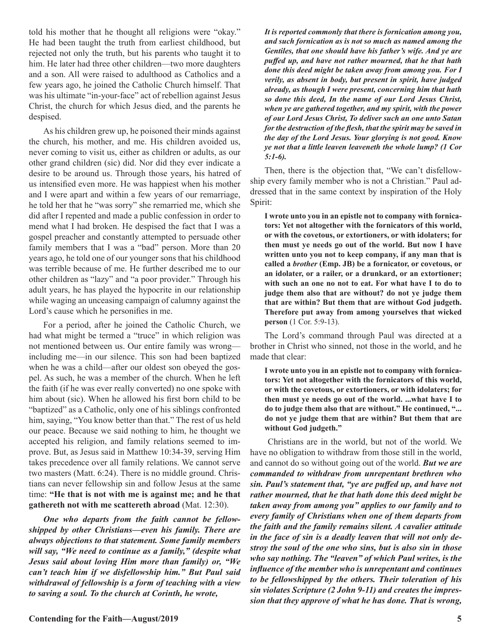told his mother that he thought all religions were "okay." He had been taught the truth from earliest childhood, but rejected not only the truth, but his parents who taught it to him. He later had three other children—two more daughters and a son. All were raised to adulthood as Catholics and a few years ago, he joined the Catholic Church himself. That was his ultimate "in-your-face" act of rebellion against Jesus Christ, the church for which Jesus died, and the parents he despised.

As his children grew up, he poisoned their minds against the church, his mother, and me. His children avoided us, never coming to visit us, either as children or adults, as our other grand children (sic) did. Nor did they ever indicate a desire to be around us. Through those years, his hatred of us intensified even more. He was happiest when his mother and I were apart and within a few years of our remarriage, he told her that he "was sorry" she remarried me, which she did after I repented and made a public confession in order to mend what I had broken. He despised the fact that I was a gospel preacher and constantly attempted to persuade other family members that I was a "bad" person. More than 20 years ago, he told one of our younger sons that his childhood was terrible because of me. He further described me to our other children as "lazy" and "a poor provider." Through his adult years, he has played the hypocrite in our relationship while waging an unceasing campaign of calumny against the Lord's cause which he personifies in me.

For a period, after he joined the Catholic Church, we had what might be termed a "truce" in which religion was not mentioned between us. Our entire family was wrong including me—in our silence. This son had been baptized when he was a child—after our oldest son obeyed the gospel. As such, he was a member of the church. When he left the faith (if he was ever really converted) no one spoke with him about (sic). When he allowed his first born child to be "baptized" as a Catholic, only one of his siblings confronted him, saying, "You know better than that." The rest of us held our peace. Because we said nothing to him, he thought we accepted his religion, and family relations seemed to improve. But, as Jesus said in Matthew 10:34-39, serving Him takes precedence over all family relations. We cannot serve two masters (Matt. 6:24). There is no middle ground. Christians can never fellowship sin and follow Jesus at the same time: **"He that is not with me is against me; and he that gathereth not with me scattereth abroad** (Mat. 12:30).

*One who departs from the faith cannot be fellowshipped by other Christians—even his family. There are always objections to that statement. Some family members will say, "We need to continue as a family," (despite what Jesus said about loving Him more than family) or, "We can't teach him if we disfellowship him." But Paul said withdrawal of fellowship is a form of teaching with a view to saving a soul. To the church at Corinth, he wrote,*

*It is reported commonly that there is fornication among you, and such fornication as is not so much as named among the Gentiles, that one should have his father's wife. And ye are puffed up, and have not rather mourned, that he that hath done this deed might be taken away from among you. For I verily, as absent in body, but present in spirit, have judged already, as though I were present, concerning him that hath so done this deed, In the name of our Lord Jesus Christ, when ye are gathered together, and my spirit, with the power of our Lord Jesus Christ, To deliver such an one unto Satan for the destruction of the flesh, that the spirit may be saved in the day of the Lord Jesus. Your glorying is not good. Know ye not that a little leaven leaveneth the whole lump? (1 Cor 5:1-6).*

Then, there is the objection that, "We can't disfellowship every family member who is not a Christian." Paul addressed that in the same context by inspiration of the Holy Spirit:

**I wrote unto you in an epistle not to company with fornicators: Yet not altogether with the fornicators of this world, or with the covetous, or extortioners, or with idolaters; for then must ye needs go out of the world. But now I have written unto you not to keep company, if any man that is called a** *brother* **(Emp. JB) be a fornicator, or covetous, or an idolater, or a railer, or a drunkard, or an extortioner; with such an one no not to eat. For what have I to do to judge them also that are without? do not ye judge them that are within? But them that are without God judgeth. Therefore put away from among yourselves that wicked person** (1 Cor. 5:9-13).

The Lord's command through Paul was directed at a brother in Christ who sinned, not those in the world, and he made that clear:

**I wrote unto you in an epistle not to company with fornicators: Yet not altogether with the fornicators of this world, or with the covetous, or extortioners, or with idolaters; for then must ye needs go out of the world. ...what have I to do to judge them also that are without." He continued, "... do not ye judge them that are within? But them that are without God judgeth."**

 Christians are in the world, but not of the world. We have no obligation to withdraw from those still in the world, and cannot do so without going out of the world. *But we are commanded to withdraw from unrepentant brethren who sin. Paul's statement that, "ye are puffed up, and have not rather mourned, that he that hath done this deed might be taken away from among you" applies to our family and to every family of Christians when one of them departs from the faith and the family remains silent. A cavalier attitude in the face of sin is a deadly leaven that will not only destroy the soul of the one who sins, but is also sin in those who say nothing. The "leaven" of which Paul writes, is the influence of the member who is unrepentant and continues to be fellowshipped by the others. Their toleration of his sin violates Scripture (2 John 9-11) and creates the impression that they approve of what he has done. That is wrong,*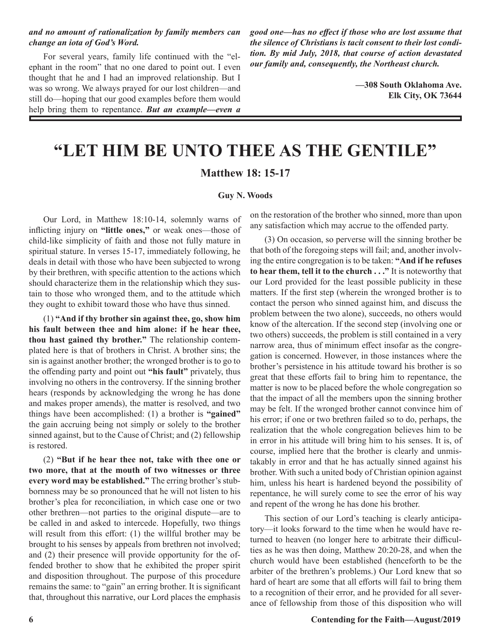#### *and no amount of rationalization by family members can change an iota of God's Word.*

For several years, family life continued with the "elephant in the room" that no one dared to point out. I even thought that he and I had an improved relationship. But I was so wrong. We always prayed for our lost children—and still do—hoping that our good examples before them would help bring them to repentance. *But an example—even a*  *good one—has no effect if those who are lost assume that the silence of Christians is tacit consent to their lost condition. By mid July, 2018, that course of action devastated our family and, consequently, the Northeast church.*

> **—308 South Oklahoma Ave. Elk City, OK 73644**

### **"LET HIM BE UNTO THEE AS THE GENTILE" Matthew 18: 15-17**

#### **Guy N. Woods**

Our Lord, in Matthew 18:10-14, solemnly warns of inflicting injury on **"little ones,"** or weak ones—those of child-like simplicity of faith and those not fully mature in spiritual stature. In verses 15-17, immediately following, he deals in detail with those who have been subjected to wrong by their brethren, with specific attention to the actions which should characterize them in the relationship which they sustain to those who wronged them, and to the attitude which they ought to exhibit toward those who have thus sinned.

(1) **"And if thy brother sin against thee, go, show him his fault between thee and him alone: if he hear thee, thou hast gained thy brother."** The relationship contemplated here is that of brothers in Christ. A brother sins; the sin is against another brother; the wronged brother is to go to the offending party and point out **"his fault"** privately, thus involving no others in the controversy. If the sinning brother hears (responds by acknowledging the wrong he has done and makes proper amends), the matter is resolved, and two things have been accomplished: (1) a brother is **"gained"**  the gain accruing being not simply or solely to the brother sinned against, but to the Cause of Christ; and (2) fellowship is restored.

(2) **"But if he hear thee not, take with thee one or two more, that at the mouth of two witnesses or three every word may be established."** The erring brother's stubbornness may be so pronounced that he will not listen to his brother's plea for reconciliation, in which case one or two other brethren—not parties to the original dispute—are to be called in and asked to intercede. Hopefully, two things will result from this effort: (1) the willful brother may be brought to his senses by appeals from brethren not involved; and (2) their presence will provide opportunity for the offended brother to show that he exhibited the proper spirit and disposition throughout. The purpose of this procedure remains the same: to "gain" an erring brother. It is significant that, throughout this narrative, our Lord places the emphasis

on the restoration of the brother who sinned, more than upon any satisfaction which may accrue to the offended party.

(3) On occasion, so perverse will the sinning brother be that both of the foregoing steps will fail; and, another involving the entire congregation is to be taken: **"And if he refuses to hear them, tell it to the church . . ."** It is noteworthy that our Lord provided for the least possible publicity in these matters. If the first step (wherein the wronged brother is to contact the person who sinned against him, and discuss the problem between the two alone), succeeds, no others would know of the altercation. If the second step (involving one or two others) succeeds, the problem is still contained in a very narrow area, thus of minimum effect insofar as the congregation is concerned. However, in those instances where the brother's persistence in his attitude toward his brother is so great that these efforts fail to bring him to repentance, the matter is now to be placed before the whole congregation so that the impact of all the members upon the sinning brother may be felt. If the wronged brother cannot convince him of his error; if one or two brethren failed so to do, perhaps, the realization that the whole congregation believes him to be in error in his attitude will bring him to his senses. It is, of course, implied here that the brother is clearly and unmistakably in error and that he has actually sinned against his brother. With such a united body of Christian opinion against him, unless his heart is hardened beyond the possibility of repentance, he will surely come to see the error of his way and repent of the wrong he has done his brother.

This section of our Lord's teaching is clearly anticipatory—it looks forward to the time when he would have returned to heaven (no longer here to arbitrate their difficulties as he was then doing, Matthew 20:20-28, and when the church would have been established (henceforth to be the arbiter of the brethren's problems.) Our Lord knew that so hard of heart are some that all efforts will fail to bring them to a recognition of their error, and he provided for all severance of fellowship from those of this disposition who will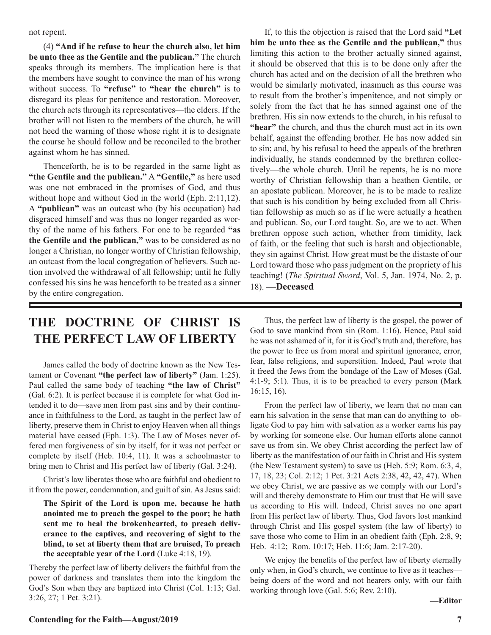not repent.

(4) **"And if he refuse to hear the church also, let him be unto thee as the Gentile and the publican."** The church speaks through its members. The implication here is that the members have sought to convince the man of his wrong without success. To **"refuse"** to **"hear the church"** is to disregard its pleas for penitence and restoration. Moreover, the church acts through its representatives—the elders. If the brother will not listen to the members of the church, he will not heed the warning of those whose right it is to designate the course he should follow and be reconciled to the brother against whom he has sinned.

Thenceforth, he is to be regarded in the same light as **"the Gentile and the publican."** A **"Gentile,"** as here used was one not embraced in the promises of God, and thus without hope and without God in the world (Eph. 2:11,12). A **"publican"** was an outcast who (by his occupation) had disgraced himself and was thus no longer regarded as worthy of the name of his fathers. For one to be regarded **"as the Gentile and the publican,"** was to be considered as no longer a Christian, no longer worthy of Christian fellowship, an outcast from the local congregation of believers. Such action involved the withdrawal of all fellowship; until he fully confessed his sins he was henceforth to be treated as a sinner by the entire congregation.

If, to this the objection is raised that the Lord said **"Let him be unto thee as the Gentile and the publican,"** thus limiting this action to the brother actually sinned against, it should be observed that this is to be done only after the church has acted and on the decision of all the brethren who would be similarly motivated, inasmuch as this course was to result from the brother's impenitence, and not simply or solely from the fact that he has sinned against one of the brethren. His sin now extends to the church, in his refusal to **"hear"** the church, and thus the church must act in its own behalf, against the offending brother. He has now added sin to sin; and, by his refusal to heed the appeals of the brethren individually, he stands condemned by the brethren collectively—the whole church. Until he repents, he is no more worthy of Christian fellowship than a heathen Gentile, or an apostate publican. Moreover, he is to be made to realize that such is his condition by being excluded from all Christian fellowship as much so as if he were actually a heathen and publican. So, our Lord taught. So, are we to act. When brethren oppose such action, whether from timidity, lack of faith, or the feeling that such is harsh and objectionable, they sin against Christ. How great must be the distaste of our Lord toward those who pass judgment on the propriety of his teaching! (*The Spiritual Sword*, Vol. 5, Jan. 1974, No. 2, p. 18). **—Deceased**

#### **THE DOCTRINE OF CHRIST IS THE PERFECT LAW OF LIBERTY**

James called the body of doctrine known as the New Testament or Covenant **"the perfect law of liberty"** (Jam. 1:25). Paul called the same body of teaching **"the law of Christ"** (Gal. 6:2). It is perfect because it is complete for what God intended it to do—save men from past sins and by their continuance in faithfulness to the Lord, as taught in the perfect law of liberty, preserve them in Christ to enjoy Heaven when all things material have ceased (Eph. 1:3). The Law of Moses never offered men forgiveness of sin by itself, for it was not perfect or complete by itself (Heb. 10:4, 11). It was a schoolmaster to bring men to Christ and His perfect law of liberty (Gal. 3:24).

Christ's law liberates those who are faithful and obedient to it from the power, condemnation, and guilt of sin. As Jesus said:

**The Spirit of the Lord is upon me, because he hath anointed me to preach the gospel to the poor; he hath sent me to heal the brokenhearted, to preach deliverance to the captives, and recovering of sight to the blind, to set at liberty them that are bruised, To preach the acceptable year of the Lord** (Luke 4:18, 19).

Thereby the perfect law of liberty delivers the faithful from the power of darkness and translates them into the kingdom the God's Son when they are baptized into Christ (Col. 1:13; Gal. 3:26, 27; 1 Pet. 3:21).

Thus, the perfect law of liberty is the gospel, the power of God to save mankind from sin (Rom. 1:16). Hence, Paul said he was not ashamed of it, for it is God's truth and, therefore, has the power to free us from moral and spiritual ignorance, error, fear, false religions, and superstition. Indeed, Paul wrote that it freed the Jews from the bondage of the Law of Moses (Gal. 4:1-9; 5:1). Thus, it is to be preached to every person (Mark 16:15, 16).

From the perfect law of liberty, we learn that no man can earn his salvation in the sense that man can do anything to obligate God to pay him with salvation as a worker earns his pay by working for someone else. Our human efforts alone cannot save us from sin. We obey Christ according the perfect law of liberty as the manifestation of our faith in Christ and His system (the New Testament system) to save us (Heb. 5:9; Rom. 6:3, 4, 17, 18, 23; Col. 2:12; 1 Pet. 3:21 Acts 2:38, 42, 42, 47). When we obey Christ, we are passive as we comply with our Lord's will and thereby demonstrate to Him our trust that He will save us according to His will. Indeed, Christ saves no one apart from His perfect law of liberty. Thus, God favors lost mankind through Christ and His gospel system (the law of liberty) to save those who come to Him in an obedient faith (Eph. 2:8, 9; Heb. 4:12; Rom. 10:17; Heb. 11:6; Jam. 2:17-20).

We enjoy the benefits of the perfect law of liberty eternally only when, in God's church, we continue to live as it teaches being doers of the word and not hearers only, with our faith working through love (Gal. 5:6; Rev. 2:10).

**—Editor**